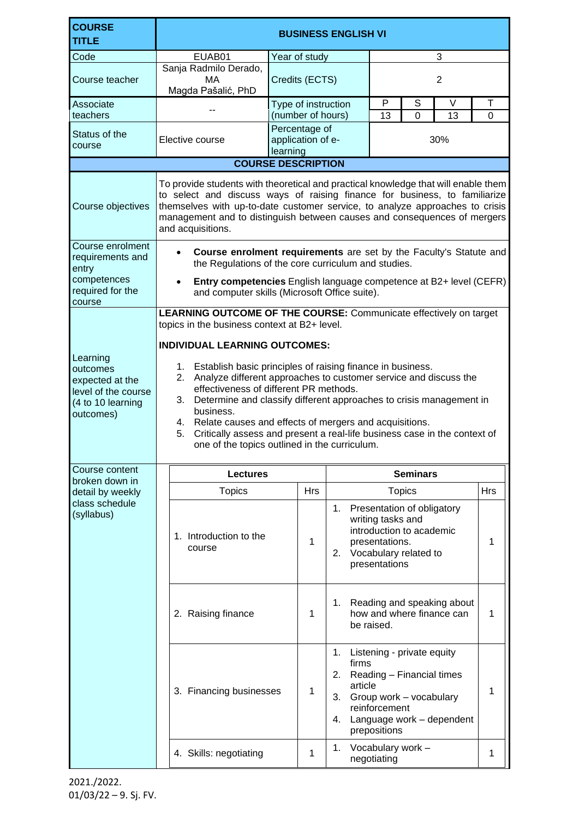| <b>COURSE</b><br><b>TITLE</b>                                                                    | <b>BUSINESS ENGLISH VI</b>                                                                                                                                                                                                                                                                                                                                                                                                                                                                                                                                        |                                                                     |                                          |                                                      |                                                                                    |                                                         |               |
|--------------------------------------------------------------------------------------------------|-------------------------------------------------------------------------------------------------------------------------------------------------------------------------------------------------------------------------------------------------------------------------------------------------------------------------------------------------------------------------------------------------------------------------------------------------------------------------------------------------------------------------------------------------------------------|---------------------------------------------------------------------|------------------------------------------|------------------------------------------------------|------------------------------------------------------------------------------------|---------------------------------------------------------|---------------|
| Code                                                                                             | EUAB01                                                                                                                                                                                                                                                                                                                                                                                                                                                                                                                                                            | Year of study                                                       |                                          | 3                                                    |                                                                                    |                                                         |               |
| Course teacher                                                                                   | Sanja Radmilo Derado,<br>МA<br>Magda Pašalić, PhD                                                                                                                                                                                                                                                                                                                                                                                                                                                                                                                 | Credits (ECTS)                                                      |                                          | $\overline{2}$                                       |                                                                                    |                                                         |               |
| Associate<br>teachers                                                                            |                                                                                                                                                                                                                                                                                                                                                                                                                                                                                                                                                                   | Type of instruction                                                 |                                          | P<br>13                                              | S<br>$\Omega$                                                                      | $\vee$<br>13                                            | T<br>$\Omega$ |
| Status of the<br>course                                                                          | Elective course                                                                                                                                                                                                                                                                                                                                                                                                                                                                                                                                                   | (number of hours)<br>Percentage of<br>application of e-<br>learning |                                          | 30%                                                  |                                                                                    |                                                         |               |
|                                                                                                  | <b>COURSE DESCRIPTION</b>                                                                                                                                                                                                                                                                                                                                                                                                                                                                                                                                         |                                                                     |                                          |                                                      |                                                                                    |                                                         |               |
| Course objectives                                                                                | To provide students with theoretical and practical knowledge that will enable them<br>to select and discuss ways of raising finance for business, to familiarize<br>themselves with up-to-date customer service, to analyze approaches to crisis<br>management and to distinguish between causes and consequences of mergers<br>and acquisitions.                                                                                                                                                                                                                 |                                                                     |                                          |                                                      |                                                                                    |                                                         |               |
| Course enrolment<br>requirements and<br>entry<br>competences<br>required for the                 | Course enrolment requirements are set by the Faculty's Statute and<br>$\bullet$<br>the Regulations of the core curriculum and studies.<br>Entry competencies English language competence at B2+ level (CEFR)                                                                                                                                                                                                                                                                                                                                                      |                                                                     |                                          |                                                      |                                                                                    |                                                         |               |
| course                                                                                           | and computer skills (Microsoft Office suite).<br>LEARNING OUTCOME OF THE COURSE: Communicate effectively on target                                                                                                                                                                                                                                                                                                                                                                                                                                                |                                                                     |                                          |                                                      |                                                                                    |                                                         |               |
| Learning<br>outcomes<br>expected at the<br>level of the course<br>(4 to 10 learning<br>outcomes) | topics in the business context at B2+ level.<br><b>INDIVIDUAL LEARNING OUTCOMES:</b><br>1. Establish basic principles of raising finance in business.<br>Analyze different approaches to customer service and discuss the<br>2.<br>effectiveness of different PR methods.<br>3. Determine and classify different approaches to crisis management in<br>business.<br>4. Relate causes and effects of mergers and acquisitions.<br>Critically assess and present a real-life business case in the context of<br>5.<br>one of the topics outlined in the curriculum. |                                                                     |                                          |                                                      |                                                                                    |                                                         |               |
| Course content<br>broken down in                                                                 | <b>Seminars</b><br><b>Lectures</b>                                                                                                                                                                                                                                                                                                                                                                                                                                                                                                                                |                                                                     |                                          |                                                      |                                                                                    |                                                         |               |
| detail by weekly                                                                                 | <b>Topics</b>                                                                                                                                                                                                                                                                                                                                                                                                                                                                                                                                                     | <b>Hrs</b>                                                          |                                          |                                                      | <b>Topics</b>                                                                      |                                                         | <b>Hrs</b>    |
| class schedule<br>(syllabus)                                                                     | 1. Introduction to the<br>course                                                                                                                                                                                                                                                                                                                                                                                                                                                                                                                                  | 1                                                                   | 1.<br>2.                                 | writing tasks and<br>presentations.<br>presentations | Presentation of obligatory<br>introduction to academic<br>Vocabulary related to    |                                                         | 1             |
|                                                                                                  | 2. Raising finance                                                                                                                                                                                                                                                                                                                                                                                                                                                                                                                                                | 1                                                                   | 1.                                       | be raised.                                           |                                                                                    | Reading and speaking about<br>how and where finance can | 1             |
|                                                                                                  | 3. Financing businesses                                                                                                                                                                                                                                                                                                                                                                                                                                                                                                                                           | 1                                                                   | 1.<br>firms<br>2.<br>article<br>3.<br>4. | reinforcement<br>prepositions                        | Listening - private equity<br>Reading - Financial times<br>Group work - vocabulary | Language work - dependent                               | 1             |
|                                                                                                  | 4. Skills: negotiating                                                                                                                                                                                                                                                                                                                                                                                                                                                                                                                                            | 1                                                                   | 1.                                       | Vocabulary work -<br>negotiating                     |                                                                                    |                                                         | 1             |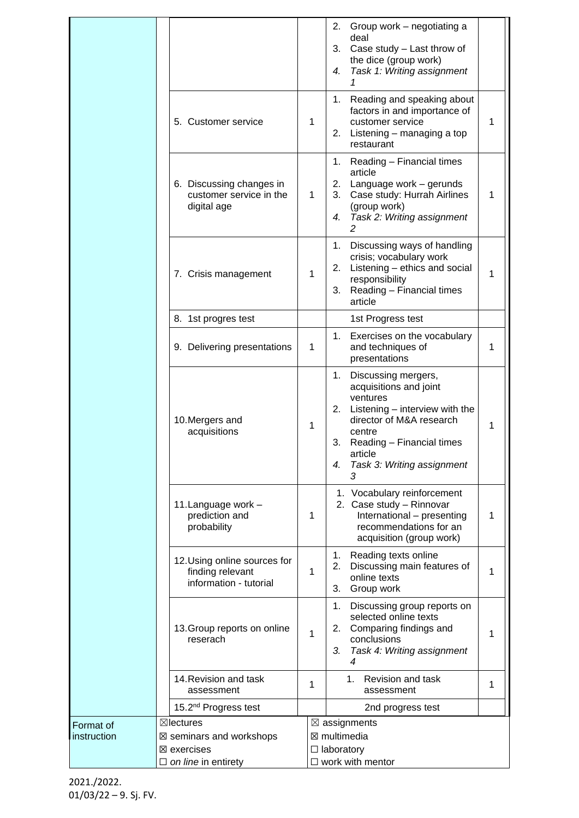|             |                          |                                                                            |   | 2. Group work – negotiating a<br>deal<br>3.<br>Case study - Last throw of<br>the dice (group work)<br>Task 1: Writing assignment<br>4.<br>1                                                                                            |  |  |  |  |
|-------------|--------------------------|----------------------------------------------------------------------------|---|----------------------------------------------------------------------------------------------------------------------------------------------------------------------------------------------------------------------------------------|--|--|--|--|
|             |                          | 5. Customer service                                                        | 1 | Reading and speaking about<br>1.<br>factors in and importance of<br>customer service<br>1<br>Listening - managing a top<br>2.<br>restaurant                                                                                            |  |  |  |  |
|             |                          | 6. Discussing changes in<br>customer service in the<br>digital age         | 1 | Reading - Financial times<br>1.<br>article<br>Language work - gerunds<br>2.<br>Case study: Hurrah Airlines<br>3.<br>1<br>(group work)<br>Task 2: Writing assignment<br>4.<br>$\mathcal{P}$                                             |  |  |  |  |
|             |                          | 7. Crisis management                                                       | 1 | Discussing ways of handling<br>1.<br>crisis; vocabulary work<br>Listening - ethics and social<br>2.<br>1<br>responsibility<br>Reading - Financial times<br>3.<br>article                                                               |  |  |  |  |
|             |                          | 8. 1st progres test                                                        |   | 1st Progress test                                                                                                                                                                                                                      |  |  |  |  |
|             |                          | 9. Delivering presentations                                                | 1 | Exercises on the vocabulary<br>1.<br>and techniques of<br>1<br>presentations                                                                                                                                                           |  |  |  |  |
|             |                          | 10. Mergers and<br>acquisitions                                            | 1 | 1. Discussing mergers,<br>acquisitions and joint<br>ventures<br>Listening - interview with the<br>2.<br>director of M&A research<br>1<br>centre<br>3.<br>Reading - Financial times<br>article<br>Task 3: Writing assignment<br>4.<br>3 |  |  |  |  |
|             |                          | 11. Language work -<br>prediction and<br>probability                       | 1 | 1. Vocabulary reinforcement<br>2. Case study - Rinnovar<br>International - presenting<br>1<br>recommendations for an<br>acquisition (group work)                                                                                       |  |  |  |  |
|             |                          | 12. Using online sources for<br>finding relevant<br>information - tutorial | 1 | Reading texts online<br>1.<br>Discussing main features of<br>2.<br>1<br>online texts<br>Group work<br>3.                                                                                                                               |  |  |  |  |
|             |                          | 13. Group reports on online<br>reserach                                    | 1 | Discussing group reports on<br>1.<br>selected online texts<br>Comparing findings and<br>2.<br>1<br>conclusions<br>Task 4: Writing assignment<br>3.<br>4                                                                                |  |  |  |  |
|             |                          | 14. Revision and task<br>assessment                                        | 1 | <b>Revision and task</b><br>1.<br>1<br>assessment                                                                                                                                                                                      |  |  |  |  |
|             |                          | 15.2 <sup>nd</sup> Progress test                                           |   | 2nd progress test                                                                                                                                                                                                                      |  |  |  |  |
| Format of   |                          | $\boxtimes$ lectures                                                       |   | $\boxtimes$ assignments                                                                                                                                                                                                                |  |  |  |  |
| instruction | ⊠ seminars and workshops |                                                                            |   | ⊠ multimedia                                                                                                                                                                                                                           |  |  |  |  |
|             | ⊠ exercises              |                                                                            |   | $\Box$ laboratory                                                                                                                                                                                                                      |  |  |  |  |
|             |                          | $\Box$ on line in entirety                                                 |   | $\Box$ work with mentor                                                                                                                                                                                                                |  |  |  |  |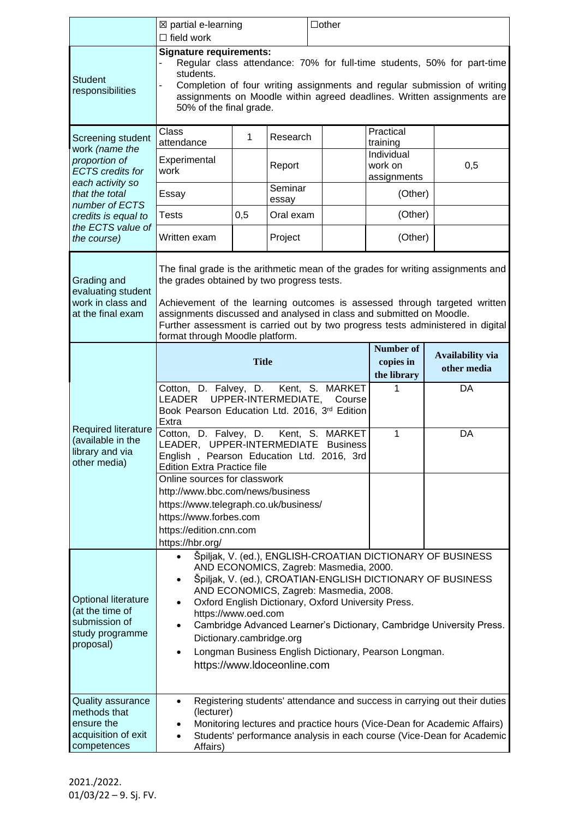|                                                                                                                       | $\Box$ other<br>⊠ partial e-learning<br>$\Box$ field work                                                                                                                                                                                                                                                                                                                                                                                                                                                                                       |     |                                         |                                              |                                                |     |
|-----------------------------------------------------------------------------------------------------------------------|-------------------------------------------------------------------------------------------------------------------------------------------------------------------------------------------------------------------------------------------------------------------------------------------------------------------------------------------------------------------------------------------------------------------------------------------------------------------------------------------------------------------------------------------------|-----|-----------------------------------------|----------------------------------------------|------------------------------------------------|-----|
| <b>Student</b><br>responsibilities                                                                                    | <b>Signature requirements:</b><br>Regular class attendance: 70% for full-time students, 50% for part-time<br>students.<br>Completion of four writing assignments and regular submission of writing<br>assignments on Moodle within agreed deadlines. Written assignments are<br>50% of the final grade.                                                                                                                                                                                                                                         |     |                                         |                                              |                                                |     |
| Screening student<br>work (name the<br>proportion of<br><b>ECTS</b> credits for<br>each activity so<br>that the total | Class<br>attendance<br>Experimental                                                                                                                                                                                                                                                                                                                                                                                                                                                                                                             | 1   | Research<br>Report                      |                                              | Practical<br>training<br>Individual<br>work on | 0,5 |
|                                                                                                                       | work<br>Essay                                                                                                                                                                                                                                                                                                                                                                                                                                                                                                                                   |     | Seminar                                 |                                              | assignments<br>(Other)                         |     |
| number of ECTS<br>credits is equal to                                                                                 | Tests                                                                                                                                                                                                                                                                                                                                                                                                                                                                                                                                           | 0,5 | essay<br>Oral exam                      |                                              | (Other)                                        |     |
| the ECTS value of<br>the course)                                                                                      | Written exam                                                                                                                                                                                                                                                                                                                                                                                                                                                                                                                                    |     | Project                                 |                                              | (Other)                                        |     |
| Grading and<br>evaluating student<br>work in class and<br>at the final exam                                           | The final grade is the arithmetic mean of the grades for writing assignments and<br>the grades obtained by two progress tests.<br>Achievement of the learning outcomes is assessed through targeted written<br>assignments discussed and analysed in class and submitted on Moodle.<br>Further assessment is carried out by two progress tests administered in digital<br>format through Moodle platform.                                                                                                                                       |     |                                         |                                              |                                                |     |
| <b>Required literature</b><br>(available in the<br>library and via<br>other media)                                    | <b>Title</b>                                                                                                                                                                                                                                                                                                                                                                                                                                                                                                                                    |     |                                         | <b>Number of</b><br>copies in<br>the library | Availability via<br>other media                |     |
|                                                                                                                       | Cotton, D. Falvey, D.<br>Kent, S. MARKET<br>1<br>DA<br>UPPER-INTERMEDIATE,<br><b>LEADER</b><br>Course<br>Book Pearson Education Ltd. 2016, 3rd Edition<br>Extra                                                                                                                                                                                                                                                                                                                                                                                 |     |                                         |                                              |                                                |     |
|                                                                                                                       | Cotton, D. Falvey, D.<br>LEADER, UPPER-INTERMEDIATE<br>English, Pearson Education Ltd. 2016, 3rd<br><b>Edition Extra Practice file</b>                                                                                                                                                                                                                                                                                                                                                                                                          |     | Kent, S. MARKET<br>1<br><b>Business</b> | DA                                           |                                                |     |
|                                                                                                                       | Online sources for classwork<br>http://www.bbc.com/news/business<br>https://www.telegraph.co.uk/business/<br>https://www.forbes.com<br>https://edition.cnn.com<br>https://hbr.org/                                                                                                                                                                                                                                                                                                                                                              |     |                                         |                                              |                                                |     |
| <b>Optional literature</b><br>(at the time of<br>submission of<br>study programme<br>proposal)                        | Špiljak, V. (ed.), ENGLISH-CROATIAN DICTIONARY OF BUSINESS<br>$\bullet$<br>AND ECONOMICS, Zagreb: Masmedia, 2000.<br>Špiljak, V. (ed.), CROATIAN-ENGLISH DICTIONARY OF BUSINESS<br>$\bullet$<br>AND ECONOMICS, Zagreb: Masmedia, 2008.<br>Oxford English Dictionary, Oxford University Press.<br>$\bullet$<br>https://www.oed.com<br>Cambridge Advanced Learner's Dictionary, Cambridge University Press.<br>$\bullet$<br>Dictionary.cambridge.org<br>Longman Business English Dictionary, Pearson Longman.<br>٠<br>https://www.ldoceonline.com |     |                                         |                                              |                                                |     |
| <b>Quality assurance</b><br>methods that<br>ensure the<br>acquisition of exit<br>competences                          | Registering students' attendance and success in carrying out their duties<br>$\bullet$<br>(lecturer)<br>Monitoring lectures and practice hours (Vice-Dean for Academic Affairs)<br>Students' performance analysis in each course (Vice-Dean for Academic<br>$\bullet$<br>Affairs)                                                                                                                                                                                                                                                               |     |                                         |                                              |                                                |     |